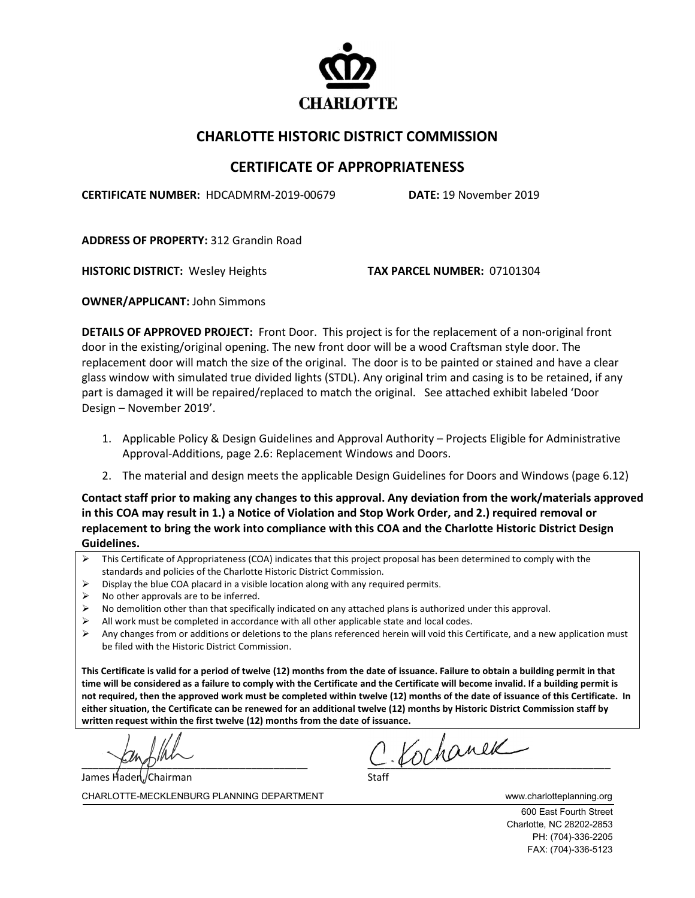

## **CHARLOTTE HISTORIC DISTRICT COMMISSION**

## **CERTIFICATE OF APPROPRIATENESS**

**CERTIFICATE NUMBER:** HDCADMRM-2019-00679 **DATE:** 19 November 2019

**ADDRESS OF PROPERTY:** 312 Grandin Road

**HISTORIC DISTRICT:** Wesley Heights **TAX PARCEL NUMBER:** 07101304

**OWNER/APPLICANT:** John Simmons

**DETAILS OF APPROVED PROJECT:** Front Door. This project is for the replacement of a non-original front door in the existing/original opening. The new front door will be a wood Craftsman style door. The replacement door will match the size of the original. The door is to be painted or stained and have a clear glass window with simulated true divided lights (STDL). Any original trim and casing is to be retained, if any part is damaged it will be repaired/replaced to match the original. See attached exhibit labeled 'Door Design – November 2019'.

- 1. Applicable Policy & Design Guidelines and Approval Authority Projects Eligible for Administrative Approval-Additions, page 2.6: Replacement Windows and Doors.
- 2. The material and design meets the applicable Design Guidelines for Doors and Windows (page 6.12)

**Contact staff prior to making any changes to this approval. Any deviation from the work/materials approved in this COA may result in 1.) a Notice of Violation and Stop Work Order, and 2.) required removal or replacement to bring the work into compliance with this COA and the Charlotte Historic District Design Guidelines.**

- $\triangleright$  This Certificate of Appropriateness (COA) indicates that this project proposal has been determined to comply with the standards and policies of the Charlotte Historic District Commission.
- Display the blue COA placard in a visible location along with any required permits.
- No other approvals are to be inferred.
- $\triangleright$  No demolition other than that specifically indicated on any attached plans is authorized under this approval.
- $\triangleright$  All work must be completed in accordance with all other applicable state and local codes.
- $\triangleright$  Any changes from or additions or deletions to the plans referenced herein will void this Certificate, and a new application must be filed with the Historic District Commission.

**This Certificate is valid for a period of twelve (12) months from the date of issuance. Failure to obtain a building permit in that time will be considered as a failure to comply with the Certificate and the Certificate will become invalid. If a building permit is not required, then the approved work must be completed within twelve (12) months of the date of issuance of this Certificate. In either situation, the Certificate can be renewed for an additional twelve (12) months by Historic District Commission staff by written request within the first twelve (12) months from the date of issuance.** 

James Haden,/Chairman

 $c$  Kochanek

CHARLOTTE-MECKLENBURG PLANNING DEPARTMENT www.charlotteplanning.org

600 East Fourth Street Charlotte, NC 28202-2853 PH: (704)-336-2205 FAX: (704)-336-5123